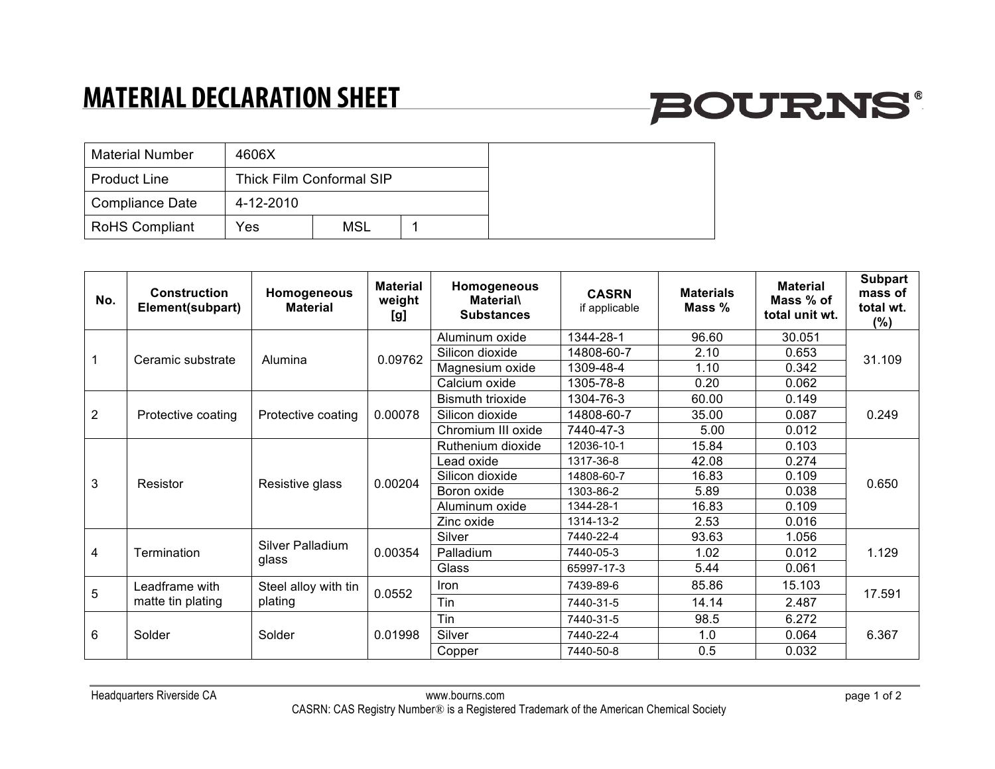## **MATERIAL DECLARATION SHEET**

# **BOURNS®**

| <b>Material Number</b> | 4606X     |                          |  |
|------------------------|-----------|--------------------------|--|
| <b>Product Line</b>    |           | Thick Film Conformal SIP |  |
| Compliance Date        | 4-12-2010 |                          |  |
| <b>RoHS Compliant</b>  | Yes       | <b>MSL</b>               |  |

| No.            | <b>Construction</b><br>Element(subpart) | Homogeneous<br><b>Material</b>  | <b>Material</b><br>weight<br>[g] | Homogeneous<br><b>Material\</b><br><b>Substances</b> | <b>CASRN</b><br>if applicable | <b>Materials</b><br>Mass % | <b>Material</b><br>Mass % of<br>total unit wt. | <b>Subpart</b><br>mass of<br>total wt.<br>$(\%)$ |
|----------------|-----------------------------------------|---------------------------------|----------------------------------|------------------------------------------------------|-------------------------------|----------------------------|------------------------------------------------|--------------------------------------------------|
|                | Ceramic substrate                       | Alumina                         | 0.09762                          | Aluminum oxide                                       | 1344-28-1                     | 96.60                      | 30.051                                         | 31.109                                           |
|                |                                         |                                 |                                  | Silicon dioxide                                      | 14808-60-7                    | 2.10                       | 0.653                                          |                                                  |
|                |                                         |                                 |                                  | Magnesium oxide                                      | 1309-48-4                     | 1.10                       | 0.342                                          |                                                  |
|                |                                         |                                 |                                  | Calcium oxide                                        | 1305-78-8                     | 0.20                       | 0.062                                          |                                                  |
| $\overline{2}$ | Protective coating                      | Protective coating              | 0.00078                          | <b>Bismuth trioxide</b>                              | 1304-76-3                     | 60.00                      | 0.149                                          | 0.249                                            |
|                |                                         |                                 |                                  | Silicon dioxide                                      | 14808-60-7                    | 35.00                      | 0.087                                          |                                                  |
|                |                                         |                                 |                                  | Chromium III oxide                                   | 7440-47-3                     | 5.00                       | 0.012                                          |                                                  |
| 3              | Resistor                                | Resistive glass                 | 0.00204                          | Ruthenium dioxide                                    | 12036-10-1                    | 15.84                      | 0.103                                          | 0.650                                            |
|                |                                         |                                 |                                  | ead oxide                                            | 1317-36-8                     | 42.08                      | 0.274                                          |                                                  |
|                |                                         |                                 |                                  | Silicon dioxide                                      | 14808-60-7                    | 16.83                      | 0.109                                          |                                                  |
|                |                                         |                                 |                                  | Boron oxide                                          | 1303-86-2                     | 5.89                       | 0.038                                          |                                                  |
|                |                                         |                                 |                                  | Aluminum oxide                                       | 1344-28-1                     | 16.83                      | 0.109                                          |                                                  |
|                |                                         |                                 |                                  | Zinc oxide                                           | 1314-13-2                     | 2.53                       | 0.016                                          |                                                  |
| 4              | Termination                             | Silver Palladium<br>glass       | 0.00354                          | Silver                                               | 7440-22-4                     | 93.63                      | 1.056                                          | 1.129                                            |
|                |                                         |                                 |                                  | Palladium                                            | 7440-05-3                     | 1.02                       | 0.012                                          |                                                  |
|                |                                         |                                 |                                  | Glass                                                | 65997-17-3                    | 5.44                       | 0.061                                          |                                                  |
| 5              | Leadframe with<br>matte tin plating     | Steel alloy with tin<br>plating | 0.0552                           | <b>Iron</b>                                          | 7439-89-6                     | 85.86                      | 15.103                                         | 17.591                                           |
|                |                                         |                                 |                                  | Tin                                                  | 7440-31-5                     | 14.14                      | 2.487                                          |                                                  |
| 6              | Solder                                  | Solder                          | 0.01998                          | Tin                                                  | 7440-31-5                     | 98.5                       | 6.272                                          | 6.367                                            |
|                |                                         |                                 |                                  | Silver                                               | 7440-22-4                     | 1.0                        | 0.064                                          |                                                  |
|                |                                         |                                 |                                  | Copper                                               | 7440-50-8                     | 0.5                        | 0.032                                          |                                                  |